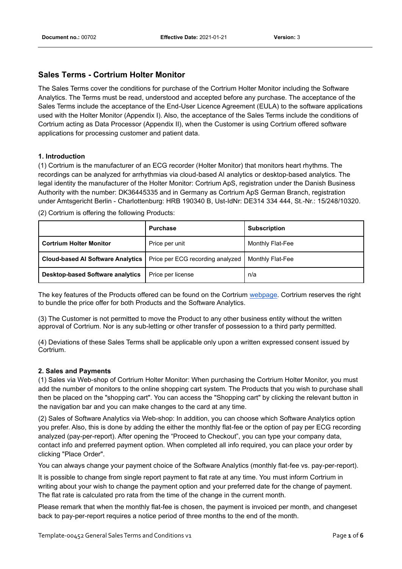### **Sales Terms - Cortrium Holter Monitor**

The Sales Terms cover the conditions for purchase of the Cortrium Holter Monitor including the Software Analytics. The Terms must be read, understood and accepted before any purchase. The acceptance of the Sales Terms include the acceptance of the End-User Licence Agreement (EULA) to the software applications used with the Holter Monitor (Appendix I). Also, the acceptance of the Sales Terms include the conditions of Cortrium acting as Data Processor (Appendix II), when the Customer is using Cortrium offered software applications for processing customer and patient data.

#### **1. Introduction**

(1) Cortrium is the manufacturer of an ECG recorder (Holter Monitor) that monitors heart rhythms. The recordings can be analyzed for arrhythmias via cloud-based AI analytics or desktop-based analytics. The legal identity the manufacturer of the Holter Monitor: Cortrium ApS, registration under the Danish Business Authority with the number: DK36445335 and in Germany as Cortrium ApS German Branch, registration under Amtsgericht Berlin - Charlottenburg: HRB 190340 B, Ust-IdNr: DE314 334 444, St.-Nr.: 15/248/10320.

(2) Cortrium is offering the following Products:

|                                                                             | <b>Purchase</b>   | <b>Subscription</b> |
|-----------------------------------------------------------------------------|-------------------|---------------------|
| <b>Cortrium Holter Monitor</b>                                              | Price per unit    | Monthly Flat-Fee    |
| <b>Cloud-based AI Software Analytics   Price per ECG recording analyzed</b> |                   | Monthly Flat-Fee    |
| <b>Desktop-based Software analytics</b>                                     | Price per license | n/a                 |

The key features of the Products offered can be found on the Cortrium webpage. Cortrium reserves the right to bundle the price offer for both Products and the Software Analytics.

(3) The Customer is not permitted to move the Product to any other business entity without the written approval of Cortrium. Nor is any sub-letting or other transfer of possession to a third party permitted.

(4) Deviations of these Sales Terms shall be applicable only upon a written expressed consent issued by Cortrium.

#### **2. Sales and Payments**

(1) Sales via Web-shop of Cortrium Holter Monitor: When purchasing the Cortrium Holter Monitor, you must add the number of monitors to the online shopping cart system. The Products that you wish to purchase shall then be placed on the "shopping cart". You can access the "Shopping cart" by clicking the relevant button in the navigation bar and you can make changes to the card at any time.

(2) Sales of Software Analytics via Web-shop: In addition, you can choose which Software Analytics option you prefer. Also, this is done by adding the either the monthly flat-fee or the option of pay per ECG recording analyzed (pay-per-report). After opening the "Proceed to Checkout", you can type your company data, contact info and preferred payment option. When completed all info required, you can place your order by clicking "Place Order".

You can always change your payment choice of the Software Analytics (monthly flat-fee vs. pay-per-report).

It is possible to change from single report payment to flat rate at any time. You must inform Cortrium in writing about your wish to change the payment option and your preferred date for the change of payment. The flat rate is calculated pro rata from the time of the change in the current month.

Please remark that when the monthly flat-fee is chosen, the payment is invoiced per month, and changeset back to pay-per-report requires a notice period of three months to the end of the month.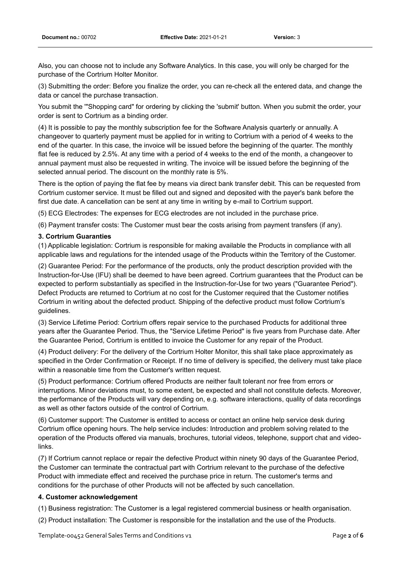Also, you can choose not to include any Software Analytics. In this case, you will only be charged for the purchase of the Cortrium Holter Monitor.

(3) Submitting the order: Before you finalize the order, you can re-check all the entered data, and change the data or cancel the purchase transaction.

You submit the '"Shopping card" for ordering by clicking the 'submit' button. When you submit the order, your order is sent to Cortrium as a binding order.

(4) It is possible to pay the monthly subscription fee for the Software Analysis quarterly or annually. A changeover to quarterly payment must be applied for in writing to Cortrium with a period of 4 weeks to the end of the quarter. In this case, the invoice will be issued before the beginning of the quarter. The monthly flat fee is reduced by 2.5%. At any time with a period of 4 weeks to the end of the month, a changeover to annual payment must also be requested in writing. The invoice will be issued before the beginning of the selected annual period. The discount on the monthly rate is 5%.

There is the option of paying the flat fee by means via direct bank transfer debit. This can be requested from Cortrium customer service. It must be filled out and signed and deposited with the payer's bank before the first due date. A cancellation can be sent at any time in writing by e-mail to Cortrium support.

(5) ECG Electrodes: The expenses for ECG electrodes are not included in the purchase price.

(6) Payment transfer costs: The Customer must bear the costs arising from payment transfers (if any).

#### **3. Cortrium Guaranties**

(1) Applicable legislation: Cortrium is responsible for making available the Products in compliance with all applicable laws and regulations for the intended usage of the Products within the Territory of the Customer.

(2) Guarantee Period: For the performance of the products, only the product description provided with the Instruction-for-Use (IFU) shall be deemed to have been agreed. Cortrium guarantees that the Product can be expected to perform substantially as specified in the Instruction-for-Use for two years ("Guarantee Period"). Defect Products are returned to Cortrium at no cost for the Customer required that the Customer notifies Cortrium in writing about the defected product. Shipping of the defective product must follow Cortrium's guidelines.

(3) Service Lifetime Period: Cortrium offers repair service to the purchased Products for additional three years after the Guarantee Period. Thus, the "Service Lifetime Period" is five years from Purchase date. After the Guarantee Period, Cortrium is entitled to invoice the Customer for any repair of the Product.

(4) Product delivery: For the delivery of the Cortrium Holter Monitor, this shall take place approximately as specified in the Order Confirmation or Receipt. If no time of delivery is specified, the delivery must take place within a reasonable time from the Customer's written request.

(5) Product performance: Cortrium offered Products are neither fault tolerant nor free from errors or interruptions. Minor deviations must, to some extent, be expected and shall not constitute defects. Moreover, the performance of the Products will vary depending on, e.g. software interactions, quality of data recordings as well as other factors outside of the control of Cortrium.

(6) Customer support: The Customer is entitled to access or contact an online help service desk during Cortrium office opening hours. The help service includes: Introduction and problem solving related to the operation of the Products offered via manuals, brochures, tutorial videos, telephone, support chat and videolinks.

(7) If Cortrium cannot replace or repair the defective Product within ninety 90 days of the Guarantee Period, the Customer can terminate the contractual part with Cortrium relevant to the purchase of the defective Product with immediate effect and received the purchase price in return. The customer's terms and conditions for the purchase of other Products will not be affected by such cancellation.

#### **4. Customer acknowledgement**

(1) Business registration: The Customer is a legal registered commercial business or health organisation.

(2) Product installation: The Customer is responsible for the installation and the use of the Products.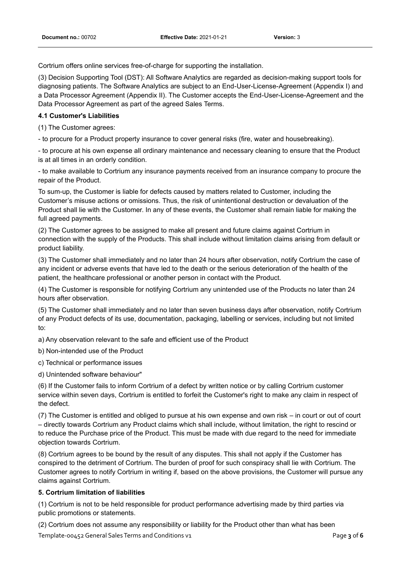Cortrium offers online services free-of-charge for supporting the installation.

(3) Decision Supporting Tool (DST): All Software Analytics are regarded as decision-making support tools for diagnosing patients. The Software Analytics are subject to an End-User-License-Agreement (Appendix I) and a Data Processor Agreement (Appendix II). The Customer accepts the End-User-License-Agreement and the Data Processor Agreement as part of the agreed Sales Terms.

### **4.1 Customer's Liabilities**

(1) The Customer agrees:

- to procure for a Product property insurance to cover general risks (fire, water and housebreaking).

- to procure at his own expense all ordinary maintenance and necessary cleaning to ensure that the Product is at all times in an orderly condition.

- to make available to Cortrium any insurance payments received from an insurance company to procure the repair of the Product.

To sum-up, the Customer is liable for defects caused by matters related to Customer, including the Customer's misuse actions or omissions. Thus, the risk of unintentional destruction or devaluation of the Product shall lie with the Customer. In any of these events, the Customer shall remain liable for making the full agreed payments.

(2) The Customer agrees to be assigned to make all present and future claims against Cortrium in connection with the supply of the Products. This shall include without limitation claims arising from default or product liability.

(3) The Customer shall immediately and no later than 24 hours after observation, notify Cortrium the case of any incident or adverse events that have led to the death or the serious deterioration of the health of the patient, the healthcare professional or another person in contact with the Product.

(4) The Customer is responsible for notifying Cortrium any unintended use of the Products no later than 24 hours after observation.

(5) The Customer shall immediately and no later than seven business days after observation, notify Cortrium of any Product defects of its use, documentation, packaging, labelling or services, including but not limited to:

a) Any observation relevant to the safe and efficient use of the Product

b) Non-intended use of the Product

c) Technical or performance issues

d) Unintended software behaviour"

(6) If the Customer fails to inform Cortrium of a defect by written notice or by calling Cortrium customer service within seven days, Cortrium is entitled to forfeit the Customer's right to make any claim in respect of the defect.

(7) The Customer is entitled and obliged to pursue at his own expense and own risk – in court or out of court – directly towards Cortrium any Product claims which shall include, without limitation, the right to rescind or to reduce the Purchase price of the Product. This must be made with due regard to the need for immediate objection towards Cortrium.

(8) Cortrium agrees to be bound by the result of any disputes. This shall not apply if the Customer has conspired to the detriment of Cortrium. The burden of proof for such conspiracy shall lie with Cortrium. The Customer agrees to notify Cortrium in writing if, based on the above provisions, the Customer will pursue any claims against Cortrium.

### **5. Cortrium limitation of liabilities**

(1) Cortrium is not to be held responsible for product performance advertising made by third parties via public promotions or statements.

Template-00452 General Sales Terms and Conditions v1 Page **3** of **6** (2) Cortrium does not assume any responsibility or liability for the Product other than what has been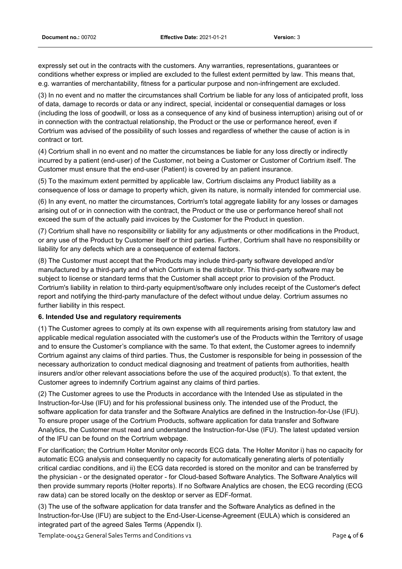expressly set out in the contracts with the customers. Any warranties, representations, guarantees or conditions whether express or implied are excluded to the fullest extent permitted by law. This means that, e.g. warranties of merchantability, fitness for a particular purpose and non-infringement are excluded.

(3) In no event and no matter the circumstances shall Cortrium be liable for any loss of anticipated profit, loss of data, damage to records or data or any indirect, special, incidental or consequential damages or loss (including the loss of goodwill, or loss as a consequence of any kind of business interruption) arising out of or in connection with the contractual relationship, the Product or the use or performance hereof, even if Cortrium was advised of the possibility of such losses and regardless of whether the cause of action is in contract or tort.

(4) Cortrium shall in no event and no matter the circumstances be liable for any loss directly or indirectly incurred by a patient (end-user) of the Customer, not being a Customer or Customer of Cortrium itself. The Customer must ensure that the end-user (Patient) is covered by an patient insurance.

(5) To the maximum extent permitted by applicable law, Cortrium disclaims any Product liability as a consequence of loss or damage to property which, given its nature, is normally intended for commercial use.

(6) In any event, no matter the circumstances, Cortrium's total aggregate liability for any losses or damages arising out of or in connection with the contract, the Product or the use or performance hereof shall not exceed the sum of the actually paid invoices by the Customer for the Product in question.

(7) Cortrium shall have no responsibility or liability for any adjustments or other modifications in the Product, or any use of the Product by Customer itself or third parties. Further, Cortrium shall have no responsibility or liability for any defects which are a consequence of external factors.

(8) The Customer must accept that the Products may include third-party software developed and/or manufactured by a third-party and of which Cortrium is the distributor. This third-party software may be subject to license or standard terms that the Customer shall accept prior to provision of the Product. Cortrium's liability in relation to third-party equipment/software only includes receipt of the Customer's defect report and notifying the third-party manufacture of the defect without undue delay. Cortrium assumes no further liability in this respect.

### **6. Intended Use and regulatory requirements**

(1) The Customer agrees to comply at its own expense with all requirements arising from statutory law and applicable medical regulation associated with the customer's use of the Products within the Territory of usage and to ensure the Customer's compliance with the same. To that extent, the Customer agrees to indemnify Cortrium against any claims of third parties. Thus, the Customer is responsible for being in possession of the necessary authorization to conduct medical diagnosing and treatment of patients from authorities, health insurers and/or other relevant associations before the use of the acquired product(s). To that extent, the Customer agrees to indemnify Cortrium against any claims of third parties.

(2) The Customer agrees to use the Products in accordance with the Intended Use as stipulated in the Instruction-for-Use (IFU) and for his professional business only. The intended use of the Product, the software application for data transfer and the Software Analytics are defined in the Instruction-for-Use (IFU). To ensure proper usage of the Cortrium Products, software application for data transfer and Software Analytics, the Customer must read and understand the Instruction-for-Use (IFU). The latest updated version of the IFU can be found on the Cortrium webpage.

For clarification; the Cortrium Holter Monitor only records ECG data. The Holter Monitor i) has no capacity for automatic ECG analysis and consequently no capacity for automatically generating alerts of potentially critical cardiac conditions, and ii) the ECG data recorded is stored on the monitor and can be transferred by the physician - or the designated operator - for Cloud-based Software Analytics. The Software Analytics will then provide summary reports (Holter reports). If no Software Analytics are chosen, the ECG recording (ECG raw data) can be stored locally on the desktop or server as EDF-format.

(3) The use of the software application for data transfer and the Software Analytics as defined in the Instruction-for-Use (IFU) are subject to the End-User-License-Agreement (EULA) which is considered an integrated part of the agreed Sales Terms (Appendix I).

Template-00452 General Sales Terms and Conditions v1 Page **4** of **6**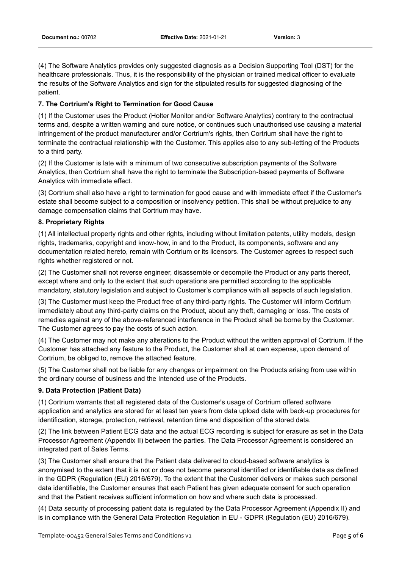(4) The Software Analytics provides only suggested diagnosis as a Decision Supporting Tool (DST) for the healthcare professionals. Thus, it is the responsibility of the physician or trained medical officer to evaluate the results of the Software Analytics and sign for the stipulated results for suggested diagnosing of the patient.

### **7. The Cortrium's Right to Termination for Good Cause**

(1) If the Customer uses the Product (Holter Monitor and/or Software Analytics) contrary to the contractual terms and, despite a written warning and cure notice, or continues such unauthorised use causing a material infringement of the product manufacturer and/or Cortrium's rights, then Cortrium shall have the right to terminate the contractual relationship with the Customer. This applies also to any sub-letting of the Products to a third party.

(2) If the Customer is late with a minimum of two consecutive subscription payments of the Software Analytics, then Cortrium shall have the right to terminate the Subscription-based payments of Software Analytics with immediate effect.

(3) Cortrium shall also have a right to termination for good cause and with immediate effect if the Customer's estate shall become subject to a composition or insolvency petition. This shall be without prejudice to any damage compensation claims that Cortrium may have.

### **8. Proprietary Rights**

(1) All intellectual property rights and other rights, including without limitation patents, utility models, design rights, trademarks, copyright and know-how, in and to the Product, its components, software and any documentation related hereto, remain with Cortrium or its licensors. The Customer agrees to respect such rights whether registered or not.

(2) The Customer shall not reverse engineer, disassemble or decompile the Product or any parts thereof, except where and only to the extent that such operations are permitted according to the applicable mandatory, statutory legislation and subject to Customer's compliance with all aspects of such legislation.

(3) The Customer must keep the Product free of any third-party rights. The Customer will inform Cortrium immediately about any third-party claims on the Product, about any theft, damaging or loss. The costs of remedies against any of the above-referenced interference in the Product shall be borne by the Customer. The Customer agrees to pay the costs of such action.

(4) The Customer may not make any alterations to the Product without the written approval of Cortrium. If the Customer has attached any feature to the Product, the Customer shall at own expense, upon demand of Cortrium, be obliged to, remove the attached feature.

(5) The Customer shall not be liable for any changes or impairment on the Products arising from use within the ordinary course of business and the Intended use of the Products.

### **9. Data Protection (Patient Data)**

(1) Cortrium warrants that all registered data of the Customer's usage of Cortrium offered software application and analytics are stored for at least ten years from data upload date with back-up procedures for identification, storage, protection, retrieval, retention time and disposition of the stored data.

(2) The link between Patient ECG data and the actual ECG recording is subject for erasure as set in the Data Processor Agreement (Appendix II) between the parties. The Data Processor Agreement is considered an integrated part of Sales Terms.

(3) The Customer shall ensure that the Patient data delivered to cloud-based software analytics is anonymised to the extent that it is not or does not become personal identified or identifiable data as defined in the GDPR (Regulation (EU) 2016/679). To the extent that the Customer delivers or makes such personal data identifiable, the Customer ensures that each Patient has given adequate consent for such operation and that the Patient receives sufficient information on how and where such data is processed.

(4) Data security of processing patient data is regulated by the Data Processor Agreement (Appendix II) and is in compliance with the General Data Protection Regulation in EU - GDPR (Regulation (EU) 2016/679).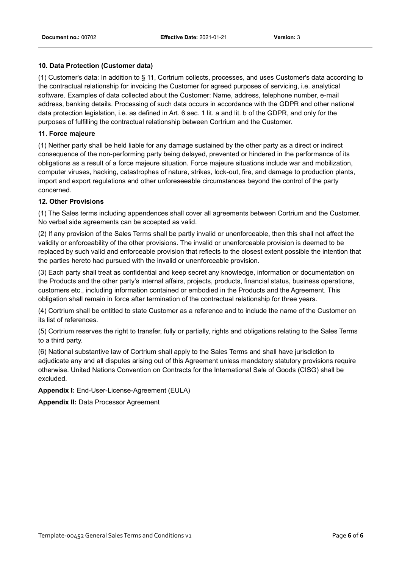#### **10. Data Protection (Customer data)**

(1) Customer's data: In addition to § 11, Cortrium collects, processes, and uses Customer's data according to the contractual relationship for invoicing the Customer for agreed purposes of servicing, i.e. analytical software. Examples of data collected about the Customer: Name, address, telephone number, e-mail address, banking details. Processing of such data occurs in accordance with the GDPR and other national data protection legislation, i.e. as defined in Art. 6 sec. 1 lit. a and lit. b of the GDPR, and only for the purposes of fulfilling the contractual relationship between Cortrium and the Customer.

#### **11. Force majeure**

(1) Neither party shall be held liable for any damage sustained by the other party as a direct or indirect consequence of the non-performing party being delayed, prevented or hindered in the performance of its obligations as a result of a force majeure situation. Force majeure situations include war and mobilization, computer viruses, hacking, catastrophes of nature, strikes, lock-out, fire, and damage to production plants, import and export regulations and other unforeseeable circumstances beyond the control of the party concerned.

#### **12. Other Provisions**

(1) The Sales terms including appendences shall cover all agreements between Cortrium and the Customer. No verbal side agreements can be accepted as valid.

(2) If any provision of the Sales Terms shall be partly invalid or unenforceable, then this shall not affect the validity or enforceability of the other provisions. The invalid or unenforceable provision is deemed to be replaced by such valid and enforceable provision that reflects to the closest extent possible the intention that the parties hereto had pursued with the invalid or unenforceable provision.

(3) Each party shall treat as confidential and keep secret any knowledge, information or documentation on the Products and the other party's internal affairs, projects, products, financial status, business operations, customers etc., including information contained or embodied in the Products and the Agreement. This obligation shall remain in force after termination of the contractual relationship for three years.

(4) Cortrium shall be entitled to state Customer as a reference and to include the name of the Customer on its list of references.

(5) Cortrium reserves the right to transfer, fully or partially, rights and obligations relating to the Sales Terms to a third party.

(6) National substantive law of Cortrium shall apply to the Sales Terms and shall have jurisdiction to adjudicate any and all disputes arising out of this Agreement unless mandatory statutory provisions require otherwise. United Nations Convention on Contracts for the International Sale of Goods (CISG) shall be excluded.

**Appendix I:** End-User-License-Agreement (EULA)

**Appendix II:** Data Processor Agreement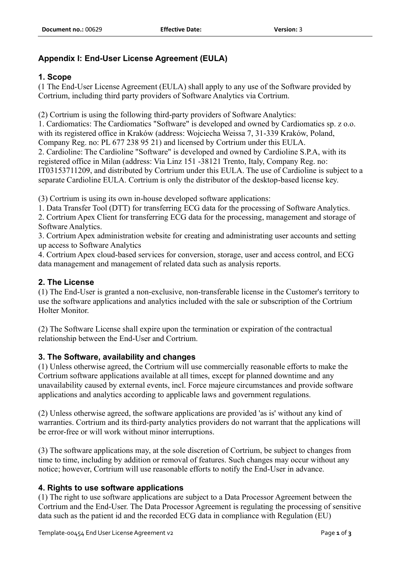### **Appendix I: End-User License Agreement (EULA)**

### **1. Scope**

(1 The End-User License Agreement (EULA) shall apply to any use of the Software provided by Cortrium, including third party providers of Software Analytics via Cortrium.

(2) Cortrium is using the following third-party providers of Software Analytics:

1. Cardiomatics: The Cardiomatics "Software" is developed and owned by Cardiomatics sp. z o.o. with its registered office in Kraków (address: Wojciecha Weissa 7, 31-339 Kraków, Poland,

Company Reg. no: PL 677 238 95 21) and licensed by Cortrium under this EULA.

2. Cardioline: The Cardioline "Software" is developed and owned by Cardioline S.P.A, with its registered office in Milan (address: Via Linz 151 -38121 Trento, Italy, Company Reg. no: IT03153711209, and distributed by Cortrium under this EULA. The use of Cardioline is subject to a separate Cardioline EULA. Cortrium is only the distributor of the desktop-based license key.

(3) Cortrium is using its own in-house developed software applications:

1. Data Transfer Tool (DTT) for transferring ECG data for the processing of Software Analytics.

2. Cortrium Apex Client for transferring ECG data for the processing, management and storage of Software Analytics.

3. Cortrium Apex administration website for creating and administrating user accounts and setting up access to Software Analytics

4. Cortrium Apex cloud-based services for conversion, storage, user and access control, and ECG data management and management of related data such as analysis reports.

### **2. The License**

(1) The End-User is granted a non-exclusive, non-transferable license in the Customer's territory to use the software applications and analytics included with the sale or subscription of the Cortrium Holter Monitor.

(2) The Software License shall expire upon the termination or expiration of the contractual relationship between the End-User and Cortrium.

### **3. The Software, availability and changes**

(1) Unless otherwise agreed, the Cortrium will use commercially reasonable efforts to make the Cortrium software applications available at all times, except for planned downtime and any unavailability caused by external events, incl. Force majeure circumstances and provide software applications and analytics according to applicable laws and government regulations.

(2) Unless otherwise agreed, the software applications are provided 'as is' without any kind of warranties. Cortrium and its third-party analytics providers do not warrant that the applications will be error-free or will work without minor interruptions.

(3) The software applications may, at the sole discretion of Cortrium, be subject to changes from time to time, including by addition or removal of features. Such changes may occur without any notice; however, Cortrium will use reasonable efforts to notify the End-User in advance.

### **4. Rights to use software applications**

(1) The right to use software applications are subject to a Data Processor Agreement between the Cortrium and the End-User. The Data Processor Agreement is regulating the processing of sensitive data such as the patient id and the recorded ECG data in compliance with Regulation (EU)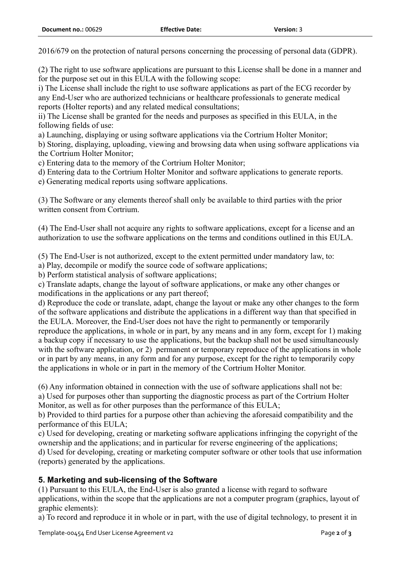2016/679 on the protection of natural persons concerning the processing of personal data (GDPR).

(2) The right to use software applications are pursuant to this License shall be done in a manner and for the purpose set out in this EULA with the following scope:

i) The License shall include the right to use software applications as part of the ECG recorder by any End-User who are authorized technicians or healthcare professionals to generate medical reports (Holter reports) and any related medical consultations;

ii) The License shall be granted for the needs and purposes as specified in this EULA, in the following fields of use:

a) Launching, displaying or using software applications via the Cortrium Holter Monitor;

b) Storing, displaying, uploading, viewing and browsing data when using software applications via the Cortrium Holter Monitor;

c) Entering data to the memory of the Cortrium Holter Monitor;

d) Entering data to the Cortrium Holter Monitor and software applications to generate reports.

e) Generating medical reports using software applications.

(3) The Software or any elements thereof shall only be available to third parties with the prior written consent from Cortrium.

(4) The End-User shall not acquire any rights to software applications, except for a license and an authorization to use the software applications on the terms and conditions outlined in this EULA.

(5) The End-User is not authorized, except to the extent permitted under mandatory law, to:

a) Play, decompile or modify the source code of software applications;

b) Perform statistical analysis of software applications;

c) Translate adapts, change the layout of software applications, or make any other changes or modifications in the applications or any part thereof;

d) Reproduce the code or translate, adapt, change the layout or make any other changes to the form of the software applications and distribute the applications in a different way than that specified in the EULA. Moreover, the End-User does not have the right to permanently or temporarily reproduce the applications, in whole or in part, by any means and in any form, except for 1) making a backup copy if necessary to use the applications, but the backup shall not be used simultaneously with the software application, or 2) permanent or temporary reproduce of the applications in whole or in part by any means, in any form and for any purpose, except for the right to temporarily copy the applications in whole or in part in the memory of the Cortrium Holter Monitor.

(6) Any information obtained in connection with the use of software applications shall not be: a) Used for purposes other than supporting the diagnostic process as part of the Cortrium Holter Monitor, as well as for other purposes than the performance of this EULA;

b) Provided to third parties for a purpose other than achieving the aforesaid compatibility and the performance of this EULA;

c) Used for developing, creating or marketing software applications infringing the copyright of the ownership and the applications; and in particular for reverse engineering of the applications; d) Used for developing, creating or marketing computer software or other tools that use information (reports) generated by the applications.

### **5. Marketing and sub-licensing of the Software**

(1) Pursuant to this EULA, the End-User is also granted a license with regard to software applications, within the scope that the applications are not a computer program (graphics, layout of graphic elements):

a) To record and reproduce it in whole or in part, with the use of digital technology, to present it in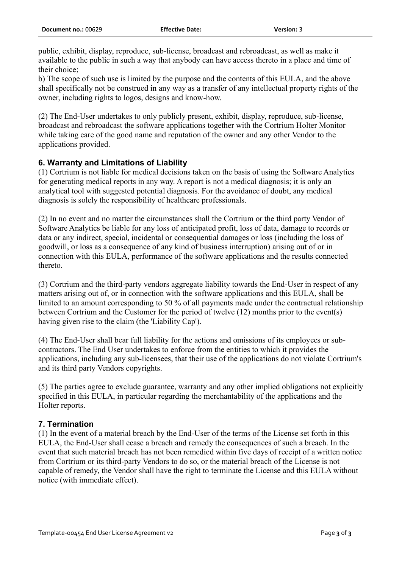public, exhibit, display, reproduce, sub-license, broadcast and rebroadcast, as well as make it available to the public in such a way that anybody can have access thereto in a place and time of their choice;

b) The scope of such use is limited by the purpose and the contents of this EULA, and the above shall specifically not be construed in any way as a transfer of any intellectual property rights of the owner, including rights to logos, designs and know-how.

(2) The End-User undertakes to only publicly present, exhibit, display, reproduce, sub-license, broadcast and rebroadcast the software applications together with the Cortrium Holter Monitor while taking care of the good name and reputation of the owner and any other Vendor to the applications provided.

### **6. Warranty and Limitations of Liability**

(1) Cortrium is not liable for medical decisions taken on the basis of using the Software Analytics for generating medical reports in any way. A report is not a medical diagnosis; it is only an analytical tool with suggested potential diagnosis. For the avoidance of doubt, any medical diagnosis is solely the responsibility of healthcare professionals.

(2) In no event and no matter the circumstances shall the Cortrium or the third party Vendor of Software Analytics be liable for any loss of anticipated profit, loss of data, damage to records or data or any indirect, special, incidental or consequential damages or loss (including the loss of goodwill, or loss as a consequence of any kind of business interruption) arising out of or in connection with this EULA, performance of the software applications and the results connected thereto.

(3) Cortrium and the third-party vendors aggregate liability towards the End-User in respect of any matters arising out of, or in connection with the software applications and this EULA, shall be limited to an amount corresponding to 50 % of all payments made under the contractual relationship between Cortrium and the Customer for the period of twelve (12) months prior to the event(s) having given rise to the claim (the 'Liability Cap').

(4) The End-User shall bear full liability for the actions and omissions of its employees or subcontractors. The End User undertakes to enforce from the entities to which it provides the applications, including any sub-licensees, that their use of the applications do not violate Cortrium's and its third party Vendors copyrights.

(5) The parties agree to exclude guarantee, warranty and any other implied obligations not explicitly specified in this EULA, in particular regarding the merchantability of the applications and the Holter reports.

### **7. Termination**

(1) In the event of a material breach by the End-User of the terms of the License set forth in this EULA, the End-User shall cease a breach and remedy the consequences of such a breach. In the event that such material breach has not been remedied within five days of receipt of a written notice from Cortrium or its third-party Vendors to do so, or the material breach of the License is not capable of remedy, the Vendor shall have the right to terminate the License and this EULA without notice (with immediate effect).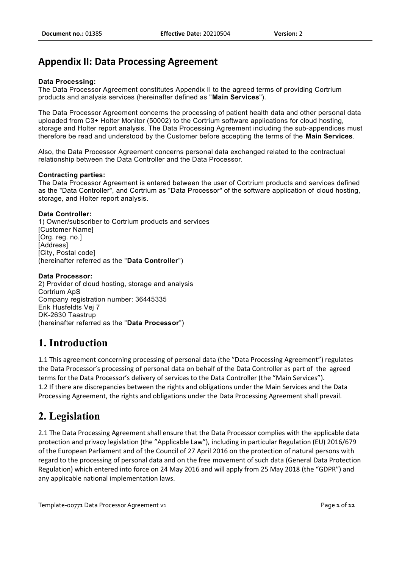## **Appendix II: Data Processing Agreement**

### **Data Processing:**

The Data Processor Agreement constitutes Appendix II to the agreed terms of providing Cortrium products and analysis services (hereinafter defined as "**Main Services**").

The Data Processor Agreement concerns the processing of patient health data and other personal data uploaded from C3+ Holter Monitor (50002) to the Cortrium software applications for cloud hosting, storage and Holter report analysis. The Data Processing Agreement including the sub-appendices must therefore be read and understood by the Customer before accepting the terms of the **Main Services**.

Also, the Data Processor Agreement concerns personal data exchanged related to the contractual relationship between the Data Controller and the Data Processor.

#### **Contracting parties:**

The Data Processor Agreement is entered between the user of Cortrium products and services defined as the "Data Controller", and Cortrium as "Data Processor" of the software application of cloud hosting, storage, and Holter report analysis.

#### **Data Controller:**

1) Owner/subscriber to Cortrium products and services [Customer Name] [Org. reg. no.] [Address] [City, Postal code] (hereinafter referred as the "**Data Controller**")

#### **Data Processor:**

2) Provider of cloud hosting, storage and analysis Cortrium ApS Company registration number: 36445335 Erik Husfeldts Vej 7 DK-2630 Taastrup (hereinafter referred as the "**Data Processor**")

## **1. Introduction**

1.1 This agreement concerning processing of personal data (the "Data Processing Agreement") regulates the Data Processor's processing of personal data on behalf of the Data Controller as part of the agreed terms for the Data Processor's delivery of services to the Data Controller (the "Main Services"). 1.2 If there are discrepancies between the rights and obligations under the Main Services and the Data Processing Agreement, the rights and obligations under the Data Processing Agreement shall prevail.

## **2. Legislation**

2.1 The Data Processing Agreement shall ensure that the Data Processor complies with the applicable data protection and privacy legislation (the "Applicable Law"), including in particular Regulation (EU) 2016/679 of the European Parliament and of the Council of 27 April 2016 on the protection of natural persons with regard to the processing of personal data and on the free movement of such data (General Data Protection Regulation) which entered into force on 24 May 2016 and will apply from 25 May 2018 (the "GDPR") and any applicable national implementation laws.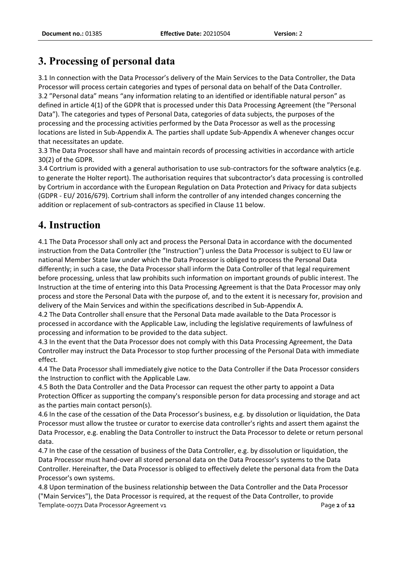3.1 In connection with the Data Processor's delivery of the Main Services to the Data Controller, the Data Processor will process certain categories and types of personal data on behalf of the Data Controller. 3.2 "Personal data" means "any information relating to an identified or identifiable natural person" as defined in article 4(1) of the GDPR that is processed under this Data Processing Agreement (the "Personal Data"). The categories and types of Personal Data, categories of data subjects, the purposes of the processing and the processing activities performed by the Data Processor as well as the processing locations are listed in Sub-Appendix A. The parties shall update Sub-Appendix A whenever changes occur that necessitates an update.

3.3 The Data Processor shall have and maintain records of processing activities in accordance with article 30(2) of the GDPR.

3.4 Cortrium is provided with a general authorisation to use sub-contractors for the software analytics (e.g. to generate the Holter report). The authorisation requires that subcontractor's data processing is controlled by Cortrium in accordance with the European Regulation on Data Protection and Privacy for data subjects (GDPR - EU/ 2016/679). Cortrium shall inform the controller of any intended changes concerning the addition or replacement of sub-contractors as specified in Clause 11 below.

# **4. Instruction**

4.1 The Data Processor shall only act and process the Personal Data in accordance with the documented instruction from the Data Controller (the "Instruction") unless the Data Processor is subject to EU law or national Member State law under which the Data Processor is obliged to process the Personal Data differently; in such a case, the Data Processor shall inform the Data Controller of that legal requirement before processing, unless that law prohibits such information on important grounds of public interest. The Instruction at the time of entering into this Data Processing Agreement is that the Data Processor may only process and store the Personal Data with the purpose of, and to the extent it is necessary for, provision and delivery of the Main Services and within the specifications described in Sub-Appendix A.

4.2 The Data Controller shall ensure that the Personal Data made available to the Data Processor is processed in accordance with the Applicable Law, including the legislative requirements of lawfulness of processing and information to be provided to the data subject.

4.3 In the event that the Data Processor does not comply with this Data Processing Agreement, the Data Controller may instruct the Data Processor to stop further processing of the Personal Data with immediate effect.

4.4 The Data Processor shall immediately give notice to the Data Controller if the Data Processor considers the Instruction to conflict with the Applicable Law.

4.5 Both the Data Controller and the Data Processor can request the other party to appoint a Data Protection Officer as supporting the company's responsible person for data processing and storage and act as the parties main contact person(s).

4.6 In the case of the cessation of the Data Processor's business, e.g. by dissolution or liquidation, the Data Processor must allow the trustee or curator to exercise data controller's rights and assert them against the Data Processor, e.g. enabling the Data Controller to instruct the Data Processor to delete or return personal data.

4.7 In the case of the cessation of business of the Data Controller, e.g. by dissolution or liquidation, the Data Processor must hand-over all stored personal data on the Data Processor's systems to the Data Controller. Hereinafter, the Data Processor is obliged to effectively delete the personal data from the Data Processor's own systems.

Template-00771 Data Processor Agreement v1 **Page 2** of **12** and **Page 2** of **12** 4.8 Upon termination of the business relationship between the Data Controller and the Data Processor ("Main Services"), the Data Processor is required, at the request of the Data Controller, to provide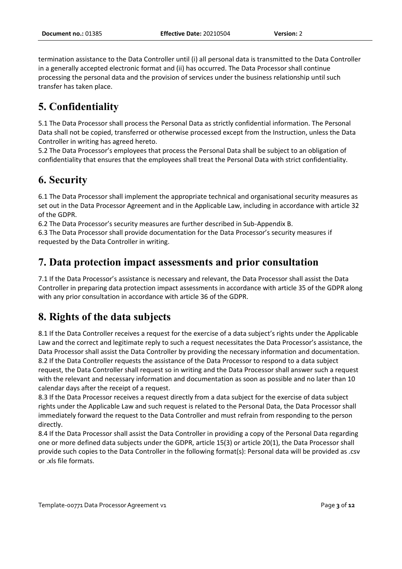termination assistance to the Data Controller until (i) all personal data is transmitted to the Data Controller in a generally accepted electronic format and (ii) has occurred. The Data Processor shall continue processing the personal data and the provision of services under the business relationship until such transfer has taken place.

# **5. Confidentiality**

5.1 The Data Processor shall process the Personal Data as strictly confidential information. The Personal Data shall not be copied, transferred or otherwise processed except from the Instruction, unless the Data Controller in writing has agreed hereto.

5.2 The Data Processor's employees that process the Personal Data shall be subject to an obligation of confidentiality that ensures that the employees shall treat the Personal Data with strict confidentiality.

# **6. Security**

6.1 The Data Processor shall implement the appropriate technical and organisational security measures as set out in the Data Processor Agreement and in the Applicable Law, including in accordance with article 32 of the GDPR.

6.2 The Data Processor's security measures are further described in Sub-Appendix B.

6.3 The Data Processor shall provide documentation for the Data Processor's security measures if requested by the Data Controller in writing.

## **7. Data protection impact assessments and prior consultation**

7.1 If the Data Processor's assistance is necessary and relevant, the Data Processor shall assist the Data Controller in preparing data protection impact assessments in accordance with article 35 of the GDPR along with any prior consultation in accordance with article 36 of the GDPR.

# **8. Rights of the data subjects**

8.1 If the Data Controller receives a request for the exercise of a data subject's rights under the Applicable Law and the correct and legitimate reply to such a request necessitates the Data Processor's assistance, the Data Processor shall assist the Data Controller by providing the necessary information and documentation. 8.2 If the Data Controller requests the assistance of the Data Processor to respond to a data subject request, the Data Controller shall request so in writing and the Data Processor shall answer such a request with the relevant and necessary information and documentation as soon as possible and no later than 10 calendar days after the receipt of a request.

8.3 If the Data Processor receives a request directly from a data subject for the exercise of data subject rights under the Applicable Law and such request is related to the Personal Data, the Data Processor shall immediately forward the request to the Data Controller and must refrain from responding to the person directly.

8.4 If the Data Processor shall assist the Data Controller in providing a copy of the Personal Data regarding one or more defined data subjects under the GDPR, article 15(3) or article 20(1), the Data Processor shall provide such copies to the Data Controller in the following format(s): Personal data will be provided as .csv or .xls file formats.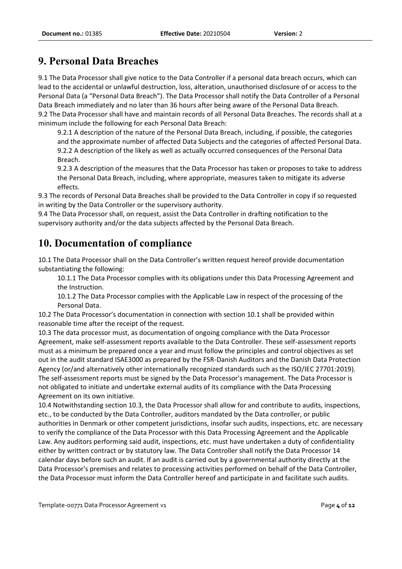## **9. Personal Data Breaches**

9.1 The Data Processor shall give notice to the Data Controller if a personal data breach occurs, which can lead to the accidental or unlawful destruction, loss, alteration, unauthorised disclosure of or access to the Personal Data (a "Personal Data Breach"). The Data Processor shall notify the Data Controller of a Personal Data Breach immediately and no later than 36 hours after being aware of the Personal Data Breach. 9.2 The Data Processor shall have and maintain records of all Personal Data Breaches. The records shall at a minimum include the following for each Personal Data Breach:

9.2.1 A description of the nature of the Personal Data Breach, including, if possible, the categories and the approximate number of affected Data Subjects and the categories of affected Personal Data. 9.2.2 A description of the likely as well as actually occurred consequences of the Personal Data Breach.

9.2.3 A description of the measures that the Data Processor has taken or proposes to take to address the Personal Data Breach, including, where appropriate, measures taken to mitigate its adverse effects.

9.3 The records of Personal Data Breaches shall be provided to the Data Controller in copy if so requested in writing by the Data Controller or the supervisory authority.

9.4 The Data Processor shall, on request, assist the Data Controller in drafting notification to the supervisory authority and/or the data subjects affected by the Personal Data Breach.

## **10. Documentation of compliance**

10.1 The Data Processor shall on the Data Controller's written request hereof provide documentation substantiating the following:

10.1.1 The Data Processor complies with its obligations under this Data Processing Agreement and the Instruction.

10.1.2 The Data Processor complies with the Applicable Law in respect of the processing of the Personal Data.

10.2 The Data Processor's documentation in connection with section 10.1 shall be provided within reasonable time after the receipt of the request.

10.3 The data processor must, as documentation of ongoing compliance with the Data Processor Agreement, make self-assessment reports available to the Data Controller. These self-assessment reports must as a minimum be prepared once a year and must follow the principles and control objectives as set out in the audit standard ISAE3000 as prepared by the FSR-Danish Auditors and the Danish Data Protection Agency (or/and alternatively other internationally recognized standards such as the ISO/IEC 27701:2019). The self-assessment reports must be signed by the Data Processor's management. The Data Processor is not obligated to initiate and undertake external audits of its compliance with the Data Processing Agreement on its own initiative.

10.4 Notwithstanding section 10.3, the Data Processor shall allow for and contribute to audits, inspections, etc., to be conducted by the Data Controller, auditors mandated by the Data controller, or public authorities in Denmark or other competent jurisdictions, insofar such audits, inspections, etc. are necessary to verify the compliance of the Data Processor with this Data Processing Agreement and the Applicable Law. Any auditors performing said audit, inspections, etc. must have undertaken a duty of confidentiality either by written contract or by statutory law. The Data Controller shall notify the Data Processor 14 calendar days before such an audit. If an audit is carried out by a governmental authority directly at the Data Processor's premises and relates to processing activities performed on behalf of the Data Controller, the Data Processor must inform the Data Controller hereof and participate in and facilitate such audits.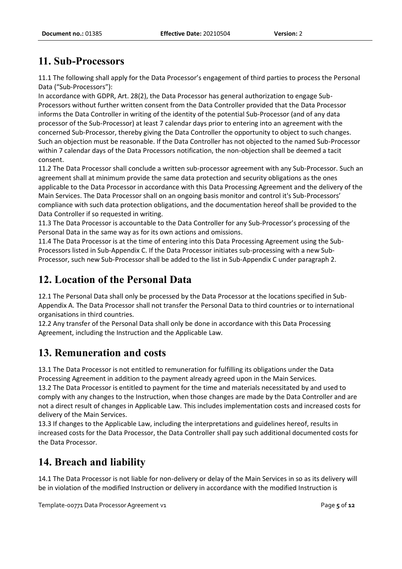# **11. Sub-Processors**

11.1 The following shall apply for the Data Processor's engagement of third parties to process the Personal Data ("Sub-Processors"):

In accordance with GDPR, Art. 28(2), the Data Processor has general authorization to engage Sub-Processors without further written consent from the Data Controller provided that the Data Processor informs the Data Controller in writing of the identity of the potential Sub-Processor (and of any data processor of the Sub-Processor) at least 7 calendar days prior to entering into an agreement with the concerned Sub-Processor, thereby giving the Data Controller the opportunity to object to such changes. Such an objection must be reasonable. If the Data Controller has not objected to the named Sub-Processor within 7 calendar days of the Data Processors notification, the non-objection shall be deemed a tacit consent.

11.2 The Data Processor shall conclude a written sub-processor agreement with any Sub-Processor. Such an agreement shall at minimum provide the same data protection and security obligations as the ones applicable to the Data Processor in accordance with this Data Processing Agreement and the delivery of the Main Services. The Data Processor shall on an ongoing basis monitor and control it's Sub-Processors' compliance with such data protection obligations, and the documentation hereof shall be provided to the Data Controller if so requested in writing.

11.3 The Data Processor is accountable to the Data Controller for any Sub-Processor's processing of the Personal Data in the same way as for its own actions and omissions.

11.4 The Data Processor is at the time of entering into this Data Processing Agreement using the Sub-Processors listed in Sub-Appendix C. If the Data Processor initiates sub-processing with a new Sub-Processor, such new Sub-Processor shall be added to the list in Sub-Appendix C under paragraph 2.

# **12. Location of the Personal Data**

12.1 The Personal Data shall only be processed by the Data Processor at the locations specified in Sub-Appendix A. The Data Processor shall not transfer the Personal Data to third countries or to international organisations in third countries.

12.2 Any transfer of the Personal Data shall only be done in accordance with this Data Processing Agreement, including the Instruction and the Applicable Law.

# **13. Remuneration and costs**

13.1 The Data Processor is not entitled to remuneration for fulfilling its obligations under the Data Processing Agreement in addition to the payment already agreed upon in the Main Services.

13.2 The Data Processor is entitled to payment for the time and materials necessitated by and used to comply with any changes to the Instruction, when those changes are made by the Data Controller and are not a direct result of changes in Applicable Law. This includes implementation costs and increased costs for delivery of the Main Services.

13.3 If changes to the Applicable Law, including the interpretations and guidelines hereof, results in increased costs for the Data Processor, the Data Controller shall pay such additional documented costs for the Data Processor.

# **14. Breach and liability**

14.1 The Data Processor is not liable for non-delivery or delay of the Main Services in so as its delivery will be in violation of the modified Instruction or delivery in accordance with the modified Instruction is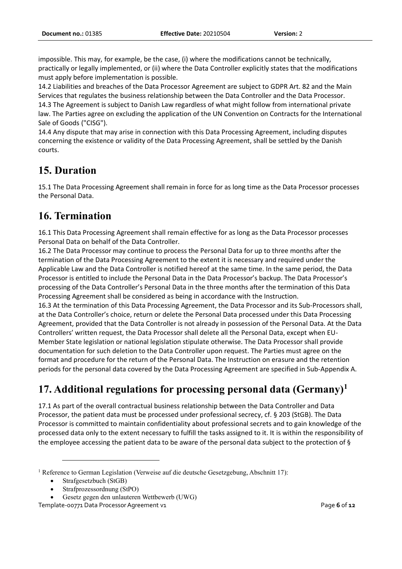impossible. This may, for example, be the case, (i) where the modifications cannot be technically, practically or legally implemented, or (ii) where the Data Controller explicitly states that the modifications must apply before implementation is possible.

14.2 Liabilities and breaches of the Data Processor Agreement are subject to GDPR Art. 82 and the Main Services that regulates the business relationship between the Data Controller and the Data Processor. 14.3 The Agreement is subject to Danish Law regardless of what might follow from international private law. The Parties agree on excluding the application of the UN Convention on Contracts for the International Sale of Goods ("CISG").

14.4 Any dispute that may arise in connection with this Data Processing Agreement, including disputes concerning the existence or validity of the Data Processing Agreement, shall be settled by the Danish courts.

### **15. Duration**

15.1 The Data Processing Agreement shall remain in force for as long time as the Data Processor processes the Personal Data.

### **16. Termination**

16.1 This Data Processing Agreement shall remain effective for as long as the Data Processor processes Personal Data on behalf of the Data Controller.

16.2 The Data Processor may continue to process the Personal Data for up to three months after the termination of the Data Processing Agreement to the extent it is necessary and required under the Applicable Law and the Data Controller is notified hereof at the same time. In the same period, the Data Processor is entitled to include the Personal Data in the Data Processor's backup. The Data Processor's processing of the Data Controller's Personal Data in the three months after the termination of this Data Processing Agreement shall be considered as being in accordance with the Instruction.

16.3 At the termination of this Data Processing Agreement, the Data Processor and its Sub-Processors shall, at the Data Controller's choice, return or delete the Personal Data processed under this Data Processing Agreement, provided that the Data Controller is not already in possession of the Personal Data. At the Data Controllers' written request, the Data Processor shall delete all the Personal Data, except when EU-Member State legislation or national legislation stipulate otherwise. The Data Processor shall provide documentation for such deletion to the Data Controller upon request. The Parties must agree on the format and procedure for the return of the Personal Data. The Instruction on erasure and the retention periods for the personal data covered by the Data Processing Agreement are specified in Sub-Appendix A.

# **17. Additional regulations for processing personal data (Germany)<sup>1</sup>**

17.1 As part of the overall contractual business relationship between the Data Controller and Data Processor, the patient data must be processed under professional secrecy, cf. § 203 (StGB). The Data Processor is committed to maintain confidentiality about professional secrets and to gain knowledge of the processed data only to the extent necessary to fulfill the tasks assigned to it. It is within the responsibility of the employee accessing the patient data to be aware of the personal data subject to the protection of §

<sup>&</sup>lt;sup>1</sup> Reference to German Legislation (Verweise auf die deutsche Gesetzgebung, Abschnitt 17):

<sup>•</sup> Strafgesetzbuch (StGB)

<sup>•</sup> Strafprozessordnung (StPO)

<sup>•</sup> Gesetz gegen den unlauteren Wettbewerb (UWG)

Template-00771 Data Processor Agreement v1 **Page 6** of **12 Page 6** of **12**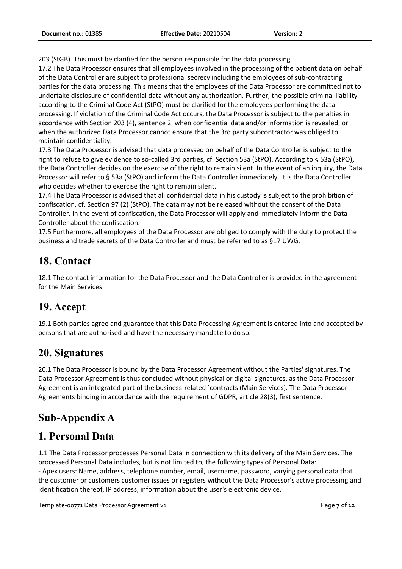203 (StGB). This must be clarified for the person responsible for the data processing.

17.2 The Data Processor ensures that all employees involved in the processing of the patient data on behalf of the Data Controller are subject to professional secrecy including the employees of sub-contracting parties for the data processing. This means that the employees of the Data Processor are committed not to undertake disclosure of confidential data without any authorization. Further, the possible criminal liability according to the Criminal Code Act (StPO) must be clarified for the employees performing the data processing. If violation of the Criminal Code Act occurs, the Data Processor is subject to the penalties in accordance with Section 203 (4), sentence 2, when confidential data and/or information is revealed, or when the authorized Data Processor cannot ensure that the 3rd party subcontractor was obliged to maintain confidentiality.

17.3 The Data Processor is advised that data processed on behalf of the Data Controller is subject to the right to refuse to give evidence to so-called 3rd parties, cf. Section 53a (StPO). According to § 53a (StPO), the Data Controller decides on the exercise of the right to remain silent. In the event of an inquiry, the Data Processor will refer to § 53a (StPO) and inform the Data Controller immediately. It is the Data Controller who decides whether to exercise the right to remain silent.

17.4 The Data Processor is advised that all confidential data in his custody is subject to the prohibition of confiscation, cf. Section 97 (2) (StPO). The data may not be released without the consent of the Data Controller. In the event of confiscation, the Data Processor will apply and immediately inform the Data Controller about the confiscation.

17.5 Furthermore, all employees of the Data Processor are obliged to comply with the duty to protect the business and trade secrets of the Data Controller and must be referred to as §17 UWG.

# **18. Contact**

18.1 The contact information for the Data Processor and the Data Controller is provided in the agreement for the Main Services.

# **19. Accept**

19.1 Both parties agree and guarantee that this Data Processing Agreement is entered into and accepted by persons that are authorised and have the necessary mandate to do so.

# **20. Signatures**

20.1 The Data Processor is bound by the Data Processor Agreement without the Parties' signatures. The Data Processor Agreement is thus concluded without physical or digital signatures, as the Data Processor Agreement is an integrated part of the business-related ´contracts (Main Services). The Data Processor Agreements binding in accordance with the requirement of GDPR, article 28(3), first sentence.

# **Sub-Appendix A**

# **1. Personal Data**

1.1 The Data Processor processes Personal Data in connection with its delivery of the Main Services. The processed Personal Data includes, but is not limited to, the following types of Personal Data: - Apex users: Name, address, telephone number, email, username, password, varying personal data that the customer or customers customer issues or registers without the Data Processor's active processing and identification thereof, IP address, information about the user's electronic device.

Template-00771 Data Processor Agreement v1 **Page 7** of **12** and *Page 7* of **12**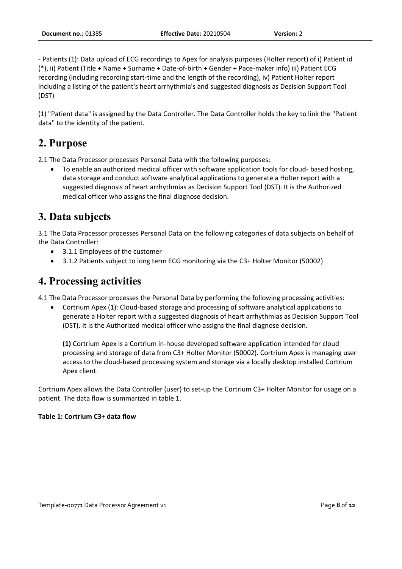- Patients (1): Data upload of ECG recordings to Apex for analysis purposes (Holter report) of i) Patient id (\*), ii) Patient (Title + Name + Surname + Date-of-birth + Gender + Pace-maker info) iii) Patient ECG recording (including recording start-time and the length of the recording), iv) Patient Holter report including a listing of the patient's heart arrhythmia's and suggested diagnosis as Decision Support Tool (DST)

(1) "Patient data" is assigned by the Data Controller. The Data Controller holds the key to link the "Patient data" to the identity of the patient.

## **2. Purpose**

2.1 The Data Processor processes Personal Data with the following purposes:

• To enable an authorized medical officer with software application tools for cloud- based hosting, data storage and conduct software analytical applications to generate a Holter report with a suggested diagnosis of heart arrhythmias as Decision Support Tool (DST). It is the Authorized medical officer who assigns the final diagnose decision.

## **3. Data subjects**

3.1 The Data Processor processes Personal Data on the following categories of data subjects on behalf of the Data Controller:

- 3.1.1 Employees of the customer
- 3.1.2 Patients subject to long term ECG monitoring via the C3+ Holter Monitor (50002)

### **4. Processing activities**

4.1 The Data Processor processes the Personal Data by performing the following processing activities:

• Cortrium Apex (1): Cloud-based storage and processing of software analytical applications to generate a Holter report with a suggested diagnosis of heart arrhythmias as Decision Support Tool (DST). It is the Authorized medical officer who assigns the final diagnose decision.

**(1)** Cortrium Apex is a Cortrium in-house developed software application intended for cloud processing and storage of data from C3+ Holter Monitor (50002). Cortrium Apex is managing user access to the cloud-based processing system and storage via a locally desktop installed Cortrium Apex client.

Cortrium Apex allows the Data Controller (user) to set-up the Cortrium C3+ Holter Monitor for usage on a patient. The data flow is summarized in table 1.

### **Table 1: Cortrium C3+ data flow**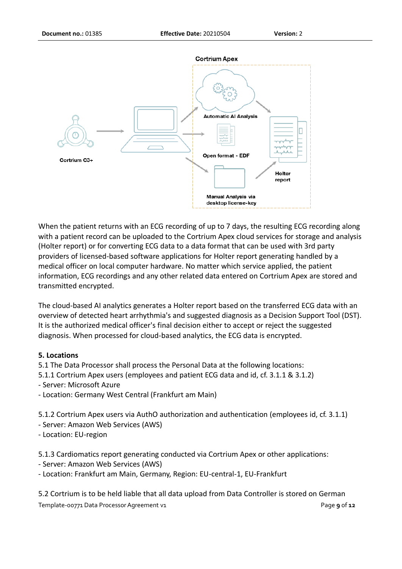

When the patient returns with an ECG recording of up to 7 days, the resulting ECG recording along with a patient record can be uploaded to the Cortrium Apex cloud services for storage and analysis (Holter report) or for converting ECG data to a data format that can be used with 3rd party providers of licensed-based software applications for Holter report generating handled by a medical officer on local computer hardware. No matter which service applied, the patient information, ECG recordings and any other related data entered on Cortrium Apex are stored and transmitted encrypted.

The cloud-based AI analytics generates a Holter report based on the transferred ECG data with an overview of detected heart arrhythmia's and suggested diagnosis as a Decision Support Tool (DST). It is the authorized medical officer's final decision either to accept or reject the suggested diagnosis. When processed for cloud-based analytics, the ECG data is encrypted.

### **5. Locations**

- 5.1 The Data Processor shall process the Personal Data at the following locations:
- 5.1.1 Cortrium Apex users (employees and patient ECG data and id, cf. 3.1.1 & 3.1.2)
- Server: Microsoft Azure
- Location: Germany West Central (Frankfurt am Main)

5.1.2 Cortrium Apex users via AuthO authorization and authentication (employees id, cf. 3.1.1)

- Server: Amazon Web Services (AWS)
- Location: EU-region

5.1.3 Cardiomatics report generating conducted via Cortrium Apex or other applications:

- Server: Amazon Web Services (AWS)
- Location: Frankfurt am Main, Germany, Region: EU-central-1, EU-Frankfurt

Template-00771 Data Processor Agreement v1 Page **9** of **12** 5.2 Cortrium is to be held liable that all data upload from Data Controller is stored on German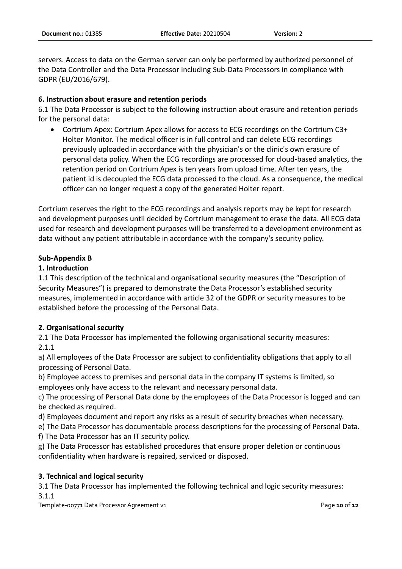servers. Access to data on the German server can only be performed by authorized personnel of the Data Controller and the Data Processor including Sub-Data Processors in compliance with GDPR (EU/2016/679).

### **6. Instruction about erasure and retention periods**

6.1 The Data Processor is subject to the following instruction about erasure and retention periods for the personal data:

• Cortrium Apex: Cortrium Apex allows for access to ECG recordings on the Cortrium C3+ Holter Monitor. The medical officer is in full control and can delete ECG recordings previously uploaded in accordance with the physician's or the clinic's own erasure of personal data policy. When the ECG recordings are processed for cloud-based analytics, the retention period on Cortrium Apex is ten years from upload time. After ten years, the patient id is decoupled the ECG data processed to the cloud. As a consequence, the medical officer can no longer request a copy of the generated Holter report.

Cortrium reserves the right to the ECG recordings and analysis reports may be kept for research and development purposes until decided by Cortrium management to erase the data. All ECG data used for research and development purposes will be transferred to a development environment as data without any patient attributable in accordance with the company's security policy.

### **Sub-Appendix B**

### **1. Introduction**

1.1 This description of the technical and organisational security measures (the "Description of Security Measures") is prepared to demonstrate the Data Processor's established security measures, implemented in accordance with article 32 of the GDPR or security measures to be established before the processing of the Personal Data.

### **2. Organisational security**

2.1 The Data Processor has implemented the following organisational security measures: 2.1.1

a) All employees of the Data Processor are subject to confidentiality obligations that apply to all processing of Personal Data.

b) Employee access to premises and personal data in the company IT systems is limited, so employees only have access to the relevant and necessary personal data.

c) The processing of Personal Data done by the employees of the Data Processor is logged and can be checked as required.

d) Employees document and report any risks as a result of security breaches when necessary.

e) The Data Processor has documentable process descriptions for the processing of Personal Data.

f) The Data Processor has an IT security policy.

g) The Data Processor has established procedures that ensure proper deletion or continuous confidentiality when hardware is repaired, serviced or disposed.

### **3. Technical and logical security**

3.1 The Data Processor has implemented the following technical and logic security measures: 3.1.1

Template-00771 Data Processor Agreement v1 Page **10** of **12**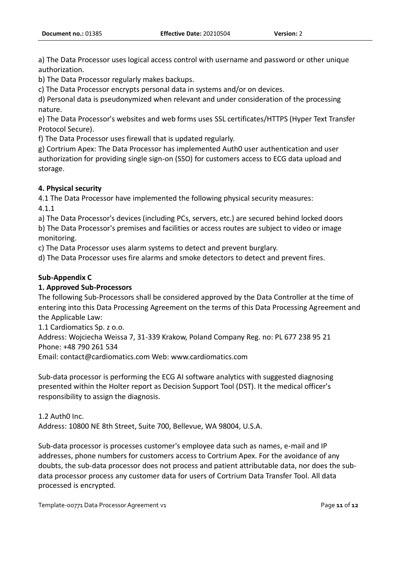a) The Data Processor uses logical access control with username and password or other unique authorization.

b) The Data Processor regularly makes backups.

c) The Data Processor encrypts personal data in systems and/or on devices.

d) Personal data is pseudonymized when relevant and under consideration of the processing nature.

e) The Data Processor's websites and web forms uses SSL certificates/HTTPS (Hyper Text Transfer Protocol Secure).

f) The Data Processor uses firewall that is updated regularly.

g) Cortrium Apex: The Data Processor has implemented Auth0 user authentication and user authorization for providing single sign-on (SSO) for customers access to ECG data upload and storage.

### **4. Physical security**

4.1 The Data Processor have implemented the following physical security measures: 4.1.1

a) The Data Processor's devices (including PCs, servers, etc.) are secured behind locked doors b) The Data Processor's premises and facilities or access routes are subject to video or image monitoring.

c) The Data Processor uses alarm systems to detect and prevent burglary.

d) The Data Processor uses fire alarms and smoke detectors to detect and prevent fires.

### **Sub-Appendix C**

### **1. Approved Sub-Processors**

The following Sub-Processors shall be considered approved by the Data Controller at the time of entering into this Data Processing Agreement on the terms of this Data Processing Agreement and the Applicable Law:

1.1 Cardiomatics Sp. z o.o.

Address: Wojciecha Weissa 7, 31-339 Krakow, Poland Company Reg. no: PL 677 238 95 21 Phone: +48 790 261 534

Email: contact@cardiomatics.com Web: www.cardiomatics.com

Sub-data processor is performing the ECG AI software analytics with suggested diagnosing presented within the Holter report as Decision Support Tool (DST). It the medical officer's responsibility to assign the diagnosis.

1.2 Auth0 Inc.

Address: 10800 NE 8th Street, Suite 700, Bellevue, WA 98004, U.S.A.

Sub-data processor is processes customer's employee data such as names, e-mail and IP addresses, phone numbers for customers access to Cortrium Apex. For the avoidance of any doubts, the sub-data processor does not process and patient attributable data, nor does the subdata processor process any customer data for users of Cortrium Data Transfer Tool. All data processed is encrypted.